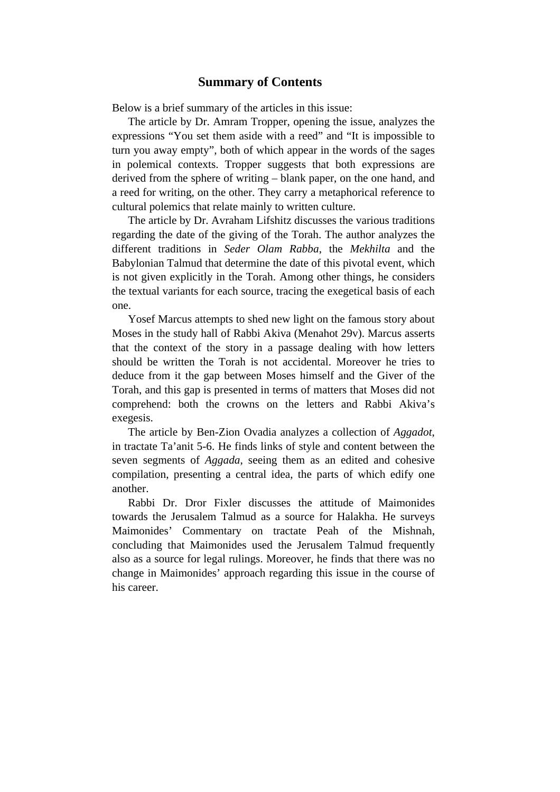## **Summary of Contents**

Below is a brief summary of the articles in this issue:

The article by Dr. Amram Tropper, opening the issue, analyzes the expressions "You set them aside with a reed" and "It is impossible to turn you away empty", both of which appear in the words of the sages in polemical contexts. Tropper suggests that both expressions are derived from the sphere of writing – blank paper, on the one hand, and a reed for writing, on the other. They carry a metaphorical reference to cultural polemics that relate mainly to written culture.

The article by Dr. Avraham Lifshitz discusses the various traditions regarding the date of the giving of the Torah. The author analyzes the different traditions in *Seder Olam Rabba*, the *Mekhilta* and the Babylonian Talmud that determine the date of this pivotal event, which is not given explicitly in the Torah. Among other things, he considers the textual variants for each source, tracing the exegetical basis of each one.

Yosef Marcus attempts to shed new light on the famous story about Moses in the study hall of Rabbi Akiva (Menahot 29v). Marcus asserts that the context of the story in a passage dealing with how letters should be written the Torah is not accidental. Moreover he tries to deduce from it the gap between Moses himself and the Giver of the Torah, and this gap is presented in terms of matters that Moses did not comprehend: both the crowns on the letters and Rabbi Akiva's exegesis.

The article by Ben-Zion Ovadia analyzes a collection of *Aggadot*, in tractate Ta'anit 5-6. He finds links of style and content between the seven segments of *Aggada*, seeing them as an edited and cohesive compilation, presenting a central idea, the parts of which edify one another.

Rabbi Dr. Dror Fixler discusses the attitude of Maimonides towards the Jerusalem Talmud as a source for Halakha. He surveys Maimonides' Commentary on tractate Peah of the Mishnah, concluding that Maimonides used the Jerusalem Talmud frequently also as a source for legal rulings. Moreover, he finds that there was no change in Maimonides' approach regarding this issue in the course of his career.